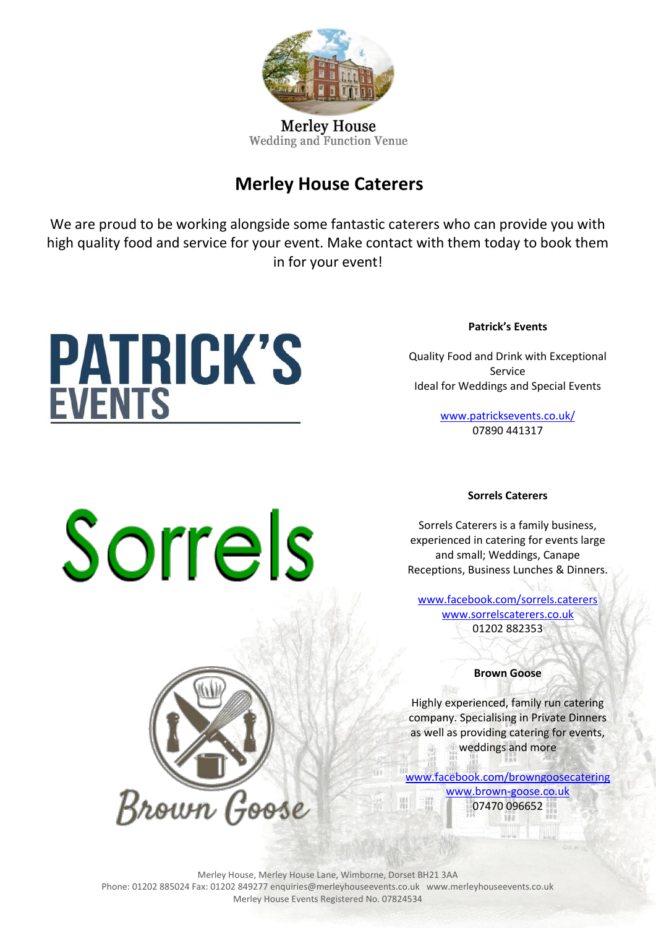

**Merley House** Wedding and Function Venue

## **Merley House Caterers**

We are proud to be working alongside some fantastic caterers who can provide you with high quality food and service for your event. Make contact with them today to book them in for your event!

# **PATRICK'S**<br>EVENTS

**Patrick's Events**

Quality Food and Drink with Exceptional Service Ideal for Weddings and Special Events

> <www.patricksevents.co.uk/> 07890 441317

## Sorrels

Brown Goose

### **Sorrels Caterers**

Sorrels Caterers is a family business, experienced in catering for events large and small; Weddings, Canape Receptions, Business Lunches & Dinners.

[www.facebook.com/sorrels.caterers](http://www.facebook.com/sorrels.caterers) [www.sorrelscaterers.co.uk](http://www.sorrelscaterers.co.uk/) 01202 882353

**Brown Goose**

Highly experienced, family run catering company. Specialising in Private Dinners as well as providing catering for events, weddings and more

[www.facebook.com/browngoosecatering](http://www.facebook.com/browngoosecatering) [www.brown-goose.co.uk](http://www.brown-goose.co.uk/)

07470 096652

Merley House, Merley House Lane, Wimborne, Dorset BH21 3AA Phone: 01202 885024 Fax: 01202 849277 enquiries@merleyhouseevents.co.uk www.merleyhouseevents.co.uk Merley House Events Registered No. 07824534